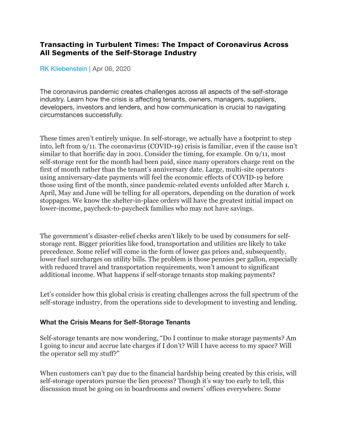## **Transacting in Turbulent Times: The Impact of Coronavirus Across All Segments of the Self-Storage Industry**

[RK Kliebenstein](https://www.insideselfstorage.com/author/RK-Kliebenstein) | Apr 06, 2020

The coronavirus pandemic creates challenges across all aspects of the self-storage industry. Learn how the crisis is affecting tenants, owners, managers, suppliers, developers, investors and lenders, and how communication is crucial to navigating circumstances successfully.

These times aren't entirely unique. In self-storage, we actually have a footprint to step into, left from 9/11. The coronavirus (COVID-19) crisis is familiar, even if the cause isn't similar to that horrific day in 2001. Consider the timing, for example. On 9/11, most self-storage rent for the month had been paid, since many operators charge rent on the first of month rather than the tenant's anniversary date. Large, multi-site operators using anniversary-date payments will feel the economic effects of COVID-19 before those using first of the month, since pandemic-related events unfolded after March 1. April, May and June will be telling for all operators, depending on the duration of work stoppages. We know the shelter-in-place orders will have the greatest initial impact on lower-income, paycheck-to-paycheck families who may not have savings.

The government's disaster-relief checks aren't likely to be used by consumers for selfstorage rent. Bigger priorities like food, transportation and utilities are likely to take precedence. Some relief will come in the form of lower gas prices and, subsequently, lower fuel surcharges on utility bills. The problem is those pennies per gallon, especially with reduced travel and transportation requirements, won't amount to significant additional income. What happens if self-storage tenants stop making payments?

Let's consider how this global crisis is creating challenges across the full spectrum of the self-storage industry, from the operations side to development to investing and lending.

#### **What the Crisis Means for Self-Storage Tenants**

Self-storage tenants are now wondering, "Do I continue to make storage payments? Am I going to incur and accrue late charges if I don't? Will I have access to my space? Will the operator sell my stuff?"

When customers can't pay due to the financial hardship being created by this crisis, will self-storage operators pursue the lien process? Though it's way too early to tell, this discussion must be going on in boardrooms and owners' offices everywhere. Some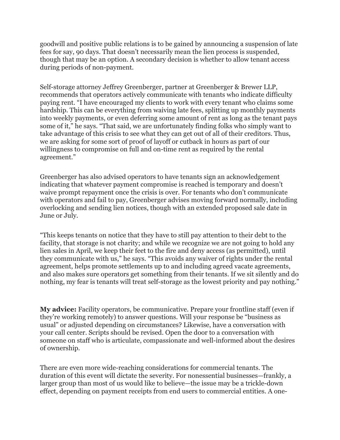goodwill and positive public relations is to be gained by announcing a suspension of late fees for say, 90 days. That doesn't necessarily mean the lien process is suspended, though that may be an option. A secondary decision is whether to allow tenant access during periods of non-payment.

Self-storage attorney Jeffrey Greenberger, partner at Greenberger & Brewer LLP, recommends that operators actively communicate with tenants who indicate difficulty paying rent. "I have encouraged my clients to work with every tenant who claims some hardship. This can be everything from waiving late fees, splitting up monthly payments into weekly payments, or even deferring some amount of rent as long as the tenant pays some of it," he says. "That said, we are unfortunately finding folks who simply want to take advantage of this crisis to see what they can get out of all of their creditors. Thus, we are asking for some sort of proof of layoff or cutback in hours as part of our willingness to compromise on full and on-time rent as required by the rental agreement."

Greenberger has also advised operators to have tenants sign an acknowledgement indicating that whatever payment compromise is reached is temporary and doesn't waive prompt repayment once the crisis is over. For tenants who don't communicate with operators and fail to pay, Greenberger advises moving forward normally, including overlocking and sending lien notices, though with an extended proposed sale date in June or July.

"This keeps tenants on notice that they have to still pay attention to their debt to the facility, that storage is not charity; and while we recognize we are not going to hold any lien sales in April, we keep their feet to the fire and deny access (as permitted), until they communicate with us," he says. "This avoids any waiver of rights under the rental agreement, helps promote settlements up to and including agreed vacate agreements, and also makes sure operators get something from their tenants. If we sit silently and do nothing, my fear is tenants will treat self-storage as the lowest priority and pay nothing."

**My advice:** Facility operators, be communicative. Prepare your frontline staff (even if they're working remotely) to answer questions. Will your response be "business as usual" or adjusted depending on circumstances? Likewise, have a conversation with your call center. Scripts should be revised. Open the door to a conversation with someone on staff who is articulate, compassionate and well-informed about the desires of ownership.

There are even more wide-reaching considerations for commercial tenants. The duration of this event will dictate the severity. For nonessential businesses—frankly, a larger group than most of us would like to believe—the issue may be a trickle-down effect, depending on payment receipts from end users to commercial entities. A one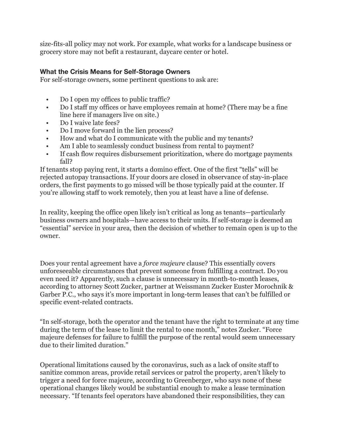size-fits-all policy may not work. For example, what works for a landscape business or grocery store may not befit a restaurant, daycare center or hotel.

### **What the Crisis Means for Self-Storage Owners**

For self-storage owners, some pertinent questions to ask are:

- Do I open my offices to public traffic?
- Do I staff my offices or have employees remain at home? (There may be a fine line here if managers live on site.)
- Do I waive late fees?
- Do I move forward in the lien process?
- How and what do I communicate with the public and my tenants?
- Am I able to seamlessly conduct business from rental to payment?
- If cash flow requires disbursement prioritization, where do mortgage payments fall?

If tenants stop paying rent, it starts a domino effect. One of the first "tells" will be rejected autopay transactions. If your doors are closed in observance of stay-in-place orders, the first payments to go missed will be those typically paid at the counter. If you're allowing staff to work remotely, then you at least have a line of defense.

In reality, keeping the office open likely isn't critical as long as tenants—particularly business owners and hospitals—have access to their units. If self-storage is deemed an "essential" service in your area, then the decision of whether to remain open is up to the owner.

Does your rental agreement have a *force majeure* clause? This essentially covers unforeseeable circumstances that prevent someone from fulfilling a contract. Do you even need it? Apparently, such a clause is unnecessary in month-to-month leases, according to attorney Scott Zucker, partner at Weissmann Zucker Euster Morochnik & Garber P.C., who says it's more important in long-term leases that can't be fulfilled or specific event-related contracts.

"In self-storage, both the operator and the tenant have the right to terminate at any time during the term of the lease to limit the rental to one month," notes Zucker. "Force majeure defenses for failure to fulfill the purpose of the rental would seem unnecessary due to their limited duration."

Operational limitations caused by the coronavirus, such as a lack of onsite staff to sanitize common areas, provide retail services or patrol the property, aren't likely to trigger a need for force majeure, according to Greenberger, who says none of these operational changes likely would be substantial enough to make a lease termination necessary. "If tenants feel operators have abandoned their responsibilities, they can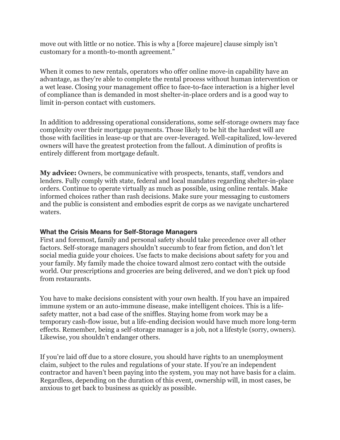move out with little or no notice. This is why a [force majeure] clause simply isn't customary for a month-to-month agreement."

When it comes to new rentals, operators who offer online move-in capability have an advantage, as they're able to complete the rental process without human intervention or a wet lease. Closing your management office to face-to-face interaction is a higher level of compliance than is demanded in most shelter-in-place orders and is a good way to limit in-person contact with customers.

In addition to addressing operational considerations, some self-storage owners may face complexity over their mortgage payments. Those likely to be hit the hardest will are those with facilities in lease-up or that are over-leveraged. Well-capitalized, low-levered owners will have the greatest protection from the fallout. A diminution of profits is entirely different from mortgage default.

**My advice:** Owners, be communicative with prospects, tenants, staff, vendors and lenders. Fully comply with state, federal and local mandates regarding shelter-in-place orders. Continue to operate virtually as much as possible, using online rentals. Make informed choices rather than rash decisions. Make sure your messaging to customers and the public is consistent and embodies esprit de corps as we navigate unchartered waters.

#### **What the Crisis Means for Self-Storage Managers**

First and foremost, family and personal safety should take precedence over all other factors. Self-storage managers shouldn't succumb to fear from fiction, and don't let social media guide your choices. Use facts to make decisions about safety for you and your family. My family made the choice toward almost zero contact with the outside world. Our prescriptions and groceries are being delivered, and we don't pick up food from restaurants.

You have to make decisions consistent with your own health. If you have an impaired immune system or an auto-immune disease, make intelligent choices. This is a lifesafety matter, not a bad case of the sniffles. Staying home from work may be a temporary cash-flow issue, but a life-ending decision would have much more long-term effects. Remember, being a self-storage manager is a job, not a lifestyle (sorry, owners). Likewise, you shouldn't endanger others.

If you're laid off due to a store closure, you should have rights to an unemployment claim, subject to the rules and regulations of your state. If you're an independent contractor and haven't been paying into the system, you may not have basis for a claim. Regardless, depending on the duration of this event, ownership will, in most cases, be anxious to get back to business as quickly as possible.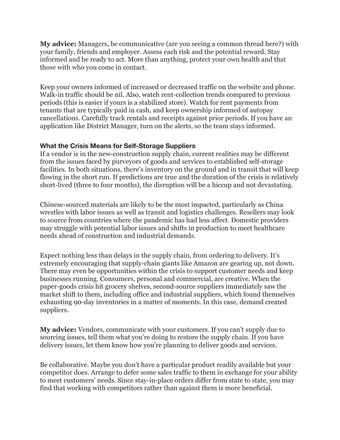**My advice:** Managers, be communicative (are you seeing a common thread here?) with your family, friends and employer. Assess each risk and the potential reward. Stay informed and be ready to act. More than anything, protect your own health and that those with who you come in contact.

Keep your owners informed of increased or decreased traffic on the website and phone. Walk-in traffic should be nil. Also, watch rent-collection trends compared to previous periods (this is easier if yours is a stabilized store). Watch for rent payments from tenants that are typically paid in cash, and keep ownership informed of autopay cancellations. Carefully track rentals and receipts against prior periods. If you have an application like District Manager, turn on the alerts, so the team stays informed.

#### **What the Crisis Means for Self-Storage Suppliers**

If a vendor is in the new-construction supply chain, current realities may be different from the issues faced by purveyors of goods and services to established self-storage facilities. In both situations, there's inventory on the ground and in transit that will keep flowing in the short run. If predictions are true and the duration of the crisis is relatively short-lived (three to four months), the disruption will be a hiccup and not devastating.

Chinese-sourced materials are likely to be the most impacted, particularly as China wrestles with labor issues as well as transit and logistics challenges. Resellers may look to source from countries where the pandemic has had less affect. Domestic providers may struggle with potential labor issues and shifts in production to meet healthcare needs ahead of construction and industrial demands.

Expect nothing less than delays in the supply chain, from ordering to delivery. It's extremely encouraging that supply-chain giants like Amazon are gearing up, not down. There may even be opportunities within the crisis to support customer needs and keep businesses running. Consumers, personal and commercial, are creative. When the paper-goods crisis hit grocery shelves, second-source suppliers immediately saw the market shift to them, including office and industrial suppliers, which found themselves exhausting 90-day inventories in a matter of moments. In this case, demand created suppliers.

**My advice:** Vendors, communicate with your customers. If you can't supply due to sourcing issues, tell them what you're doing to restore the supply chain. If you have delivery issues, let them know how you're planning to deliver goods and services.

Be collaborative. Maybe you don't have a particular product readily available but your competitor does. Arrange to defer some sales traffic to them in exchange for your ability to meet customers' needs. Since stay-in-place orders differ from state to state, you may find that working with competitors rather than against them is more beneficial.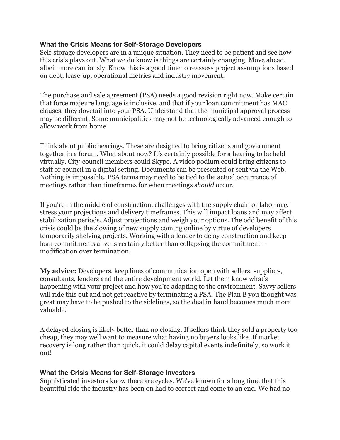#### **What the Crisis Means for Self-Storage Developers**

Self-storage developers are in a unique situation. They need to be patient and see how this crisis plays out. What we do know is things are certainly changing. Move ahead, albeit more cautiously. Know this is a good time to reassess project assumptions based on debt, lease-up, operational metrics and industry movement.

The purchase and sale agreement (PSA) needs a good revision right now. Make certain that force majeure language is inclusive, and that if your loan commitment has MAC clauses, they dovetail into your PSA. Understand that the municipal approval process may be different. Some municipalities may not be technologically advanced enough to allow work from home.

Think about public hearings. These are designed to bring citizens and government together in a forum. What about now? It's certainly possible for a hearing to be held virtually. City-council members could Skype. A video podium could bring citizens to staff or council in a digital setting. Documents can be presented or sent via the Web. Nothing is impossible. PSA terms may need to be tied to the actual occurrence of meetings rather than timeframes for when meetings *should* occur.

If you're in the middle of construction, challenges with the supply chain or labor may stress your projections and delivery timeframes. This will impact loans and may affect stabilization periods. Adjust projections and weigh your options. The odd benefit of this crisis could be the slowing of new supply coming online by virtue of developers temporarily shelving projects. Working with a lender to delay construction and keep loan commitments alive is certainly better than collapsing the commitment modification over termination.

**My advice:** Developers, keep lines of communication open with sellers, suppliers, consultants, lenders and the entire development world. Let them know what's happening with your project and how you're adapting to the environment. Savvy sellers will ride this out and not get reactive by terminating a PSA. The Plan B you thought was great may have to be pushed to the sidelines, so the deal in hand becomes much more valuable.

A delayed closing is likely better than no closing. If sellers think they sold a property too cheap, they may well want to measure what having no buyers looks like. If market recovery is long rather than quick, it could delay capital events indefinitely, so work it out!

## **What the Crisis Means for Self-Storage Investors**

Sophisticated investors know there are cycles. We've known for a long time that this beautiful ride the industry has been on had to correct and come to an end. We had no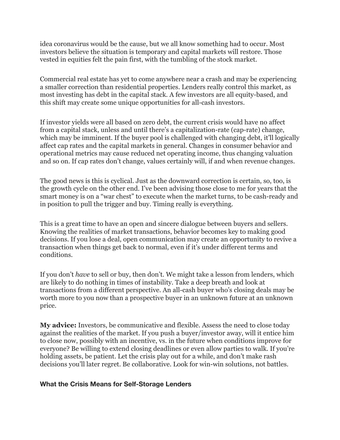idea coronavirus would be the cause, but we all know something had to occur. Most investors believe the situation is temporary and capital markets will restore. Those vested in equities felt the pain first, with the tumbling of the stock market.

Commercial real estate has yet to come anywhere near a crash and may be experiencing a smaller correction than residential properties. Lenders really control this market, as most investing has debt in the capital stack. A few investors are all equity-based, and this shift may create some unique opportunities for all-cash investors.

If investor yields were all based on zero debt, the current crisis would have no affect from a capital stack, unless and until there's a capitalization-rate (cap-rate) change, which may be imminent. If the buyer pool is challenged with changing debt, it'll logically affect cap rates and the capital markets in general. Changes in consumer behavior and operational metrics may cause reduced net operating income, thus changing valuation and so on. If cap rates don't change, values certainly will, if and when revenue changes.

The good news is this is cyclical. Just as the downward correction is certain, so, too, is the growth cycle on the other end. I've been advising those close to me for years that the smart money is on a "war chest" to execute when the market turns, to be cash-ready and in position to pull the trigger and buy. Timing really is everything.

This is a great time to have an open and sincere dialogue between buyers and sellers. Knowing the realities of market transactions, behavior becomes key to making good decisions. If you lose a deal, open communication may create an opportunity to revive a transaction when things get back to normal, even if it's under different terms and conditions.

If you don't *have* to sell or buy, then don't. We might take a lesson from lenders, which are likely to do nothing in times of instability. Take a deep breath and look at transactions from a different perspective. An all-cash buyer who's closing deals may be worth more to you now than a prospective buyer in an unknown future at an unknown price.

**My advice:** Investors, be communicative and flexible. Assess the need to close today against the realities of the market. If you push a buyer/investor away, will it entice him to close now, possibly with an incentive, vs. in the future when conditions improve for everyone? Be willing to extend closing deadlines or even allow parties to walk. If you're holding assets, be patient. Let the crisis play out for a while, and don't make rash decisions you'll later regret. Be collaborative. Look for win-win solutions, not battles.

#### **What the Crisis Means for Self-Storage Lenders**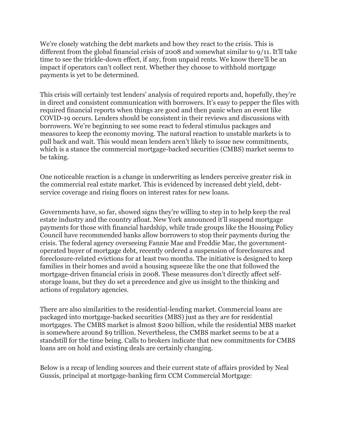We're closely watching the debt markets and how they react to the crisis. This is different from the global financial crisis of 2008 and somewhat similar to 9/11. It'll take time to see the trickle-down effect, if any, from unpaid rents. We know there'll be an impact if operators can't collect rent. Whether they choose to withhold mortgage payments is yet to be determined.

This crisis will certainly test lenders' analysis of required reports and, hopefully, they're in direct and consistent communication with borrowers. It's easy to pepper the files with required financial reports when things are good and then panic when an event like COVID-19 occurs. Lenders should be consistent in their reviews and discussions with borrowers. We're beginning to see some react to federal stimulus packages and measures to keep the economy moving. The natural reaction to unstable markets is to pull back and wait. This would mean lenders aren't likely to issue new commitments, which is a stance the commercial mortgage-backed securities (CMBS) market seems to be taking.

One noticeable reaction is a change in underwriting as lenders perceive greater risk in the commercial real estate market. This is evidenced by increased debt yield, debtservice coverage and rising floors on interest rates for new loans.

Governments have, so far, showed signs they're willing to step in to help keep the real estate industry and the country afloat. New York announced it'll suspend mortgage payments for those with financial hardship, while trade groups like the Housing Policy Council have recommended banks allow borrowers to stop their payments during the crisis. The federal agency overseeing Fannie Mae and Freddie Mac, the governmentoperated buyer of mortgage debt, recently ordered a suspension of foreclosures and foreclosure-related evictions for at least two months. The initiative is designed to keep families in their homes and avoid a housing squeeze like the one that followed the mortgage-driven financial crisis in 2008. These measures don't directly affect selfstorage loans, but they do set a precedence and give us insight to the thinking and actions of regulatory agencies.

There are also similarities to the residential-lending market. Commercial loans are packaged into mortgage-backed securities (MBS) just as they are for residential mortgages. The CMBS market is almost \$200 billion, while the residential MBS market is somewhere around \$9 trillion. Nevertheless, the CMBS market seems to be at a standstill for the time being. Calls to brokers indicate that new commitments for CMBS loans are on hold and existing deals are certainly changing.

Below is a recap of lending sources and their current state of affairs provided by Neal Gussis, principal at mortgage-banking firm CCM Commercial Mortgage: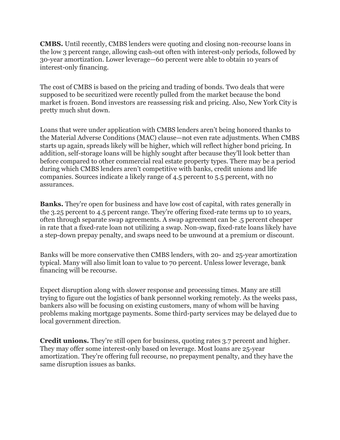**CMBS.** Until recently, CMBS lenders were quoting and closing non-recourse loans in the low 3 percent range, allowing cash-out often with interest-only periods, followed by 30-year amortization. Lower leverage—60 percent were able to obtain 10 years of interest-only financing.

The cost of CMBS is based on the pricing and trading of bonds. Two deals that were supposed to be securitized were recently pulled from the market because the bond market is frozen. Bond investors are reassessing risk and pricing. Also, New York City is pretty much shut down.

Loans that were under application with CMBS lenders aren't being honored thanks to the Material Adverse Conditions (MAC) clause—not even rate adjustments. When CMBS starts up again, spreads likely will be higher, which will reflect higher bond pricing. In addition, self-storage loans will be highly sought after because they'll look better than before compared to other commercial real estate property types. There may be a period during which CMBS lenders aren't competitive with banks, credit unions and life companies. Sources indicate a likely range of 4.5 percent to 5.5 percent, with no assurances.

**Banks.** They're open for business and have low cost of capital, with rates generally in the 3.25 percent to 4.5 percent range. They're offering fixed-rate terms up to 10 years, often through separate swap agreements. A swap agreement can be .5 percent cheaper in rate that a fixed-rate loan not utilizing a swap. Non-swap, fixed-rate loans likely have a step-down prepay penalty, and swaps need to be unwound at a premium or discount.

Banks will be more conservative then CMBS lenders, with 20- and 25-year amortization typical. Many will also limit loan to value to 70 percent. Unless lower leverage, bank financing will be recourse.

Expect disruption along with slower response and processing times. Many are still trying to figure out the logistics of bank personnel working remotely. As the weeks pass, bankers also will be focusing on existing customers, many of whom will be having problems making mortgage payments. Some third-party services may be delayed due to local government direction.

**Credit unions.** They're still open for business, quoting rates 3.7 percent and higher. They may offer some interest-only based on leverage. Most loans are 25-year amortization. They're offering full recourse, no prepayment penalty, and they have the same disruption issues as banks.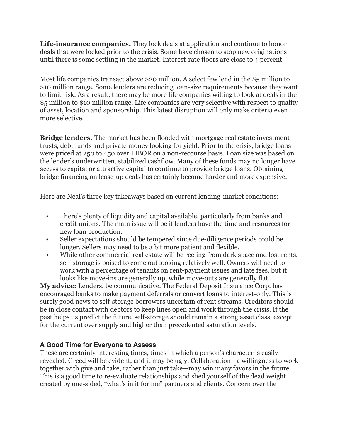**Life-insurance companies.** They lock deals at application and continue to honor deals that were locked prior to the crisis. Some have chosen to stop new originations until there is some settling in the market. Interest-rate floors are close to 4 percent.

Most life companies transact above \$20 million. A select few lend in the \$5 million to \$10 million range. Some lenders are reducing loan-size requirements because they want to limit risk. As a result, there may be more life companies willing to look at deals in the \$5 million to \$10 million range. Life companies are very selective with respect to quality of asset, location and sponsorship. This latest disruption will only make criteria even more selective.

**Bridge lenders.** The market has been flooded with mortgage real estate investment trusts, debt funds and private money looking for yield. Prior to the crisis, bridge loans were priced at 250 to 450 over LIBOR on a non-recourse basis. Loan size was based on the lender's underwritten, stabilized cashflow. Many of these funds may no longer have access to capital or attractive capital to continue to provide bridge loans. Obtaining bridge financing on lease-up deals has certainly become harder and more expensive.

Here are Neal's three key takeaways based on current lending-market conditions:

- There's plenty of liquidity and capital available, particularly from banks and credit unions. The main issue will be if lenders have the time and resources for new loan production.
- Seller expectations should be tempered since due-diligence periods could be longer. Sellers may need to be a bit more patient and flexible.
- While other commercial real estate will be reeling from dark space and lost rents, self-storage is poised to come out looking relatively well. Owners will need to work with a percentage of tenants on rent-payment issues and late fees, but it looks like move-ins are generally up, while move-outs are generally flat.

**My advice:** Lenders, be communicative. The Federal Deposit Insurance Corp. has encouraged banks to make payment deferrals or convert loans to interest-only. This is surely good news to self-storage borrowers uncertain of rent streams. Creditors should be in close contact with debtors to keep lines open and work through the crisis. If the past helps us predict the future, self-storage should remain a strong asset class, except for the current over supply and higher than precedented saturation levels.

# **A Good Time for Everyone to Assess**

These are certainly interesting times, times in which a person's character is easily revealed. Greed will be evident, and it may be ugly. Collaboration—a willingness to work together with give and take, rather than just take—may win many favors in the future. This is a good time to re-evaluate relationships and shed yourself of the dead weight created by one-sided, "what's in it for me" partners and clients. Concern over the